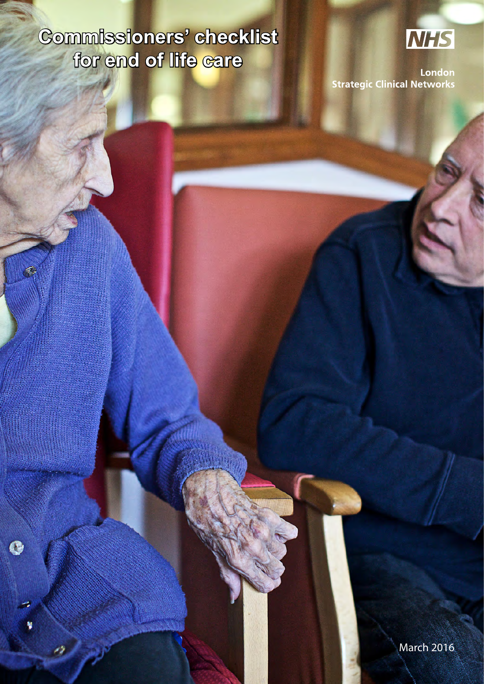# **Commissioners' checklist for end of life care**

K.

 $\bullet$ 

4



London **Strategic Clinical Networks**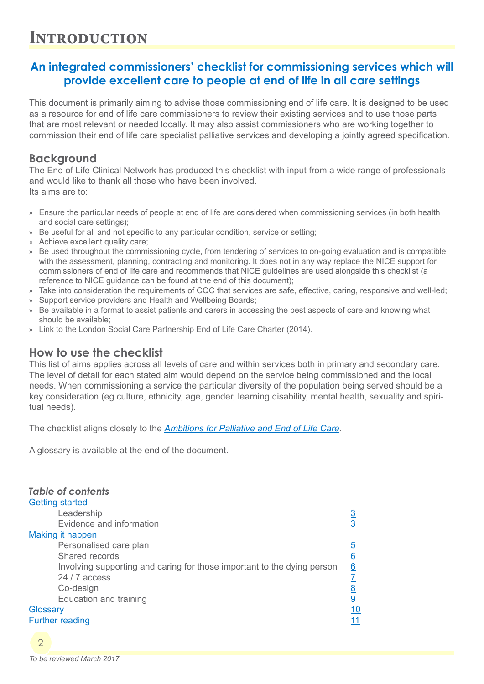#### **Introduction**

#### **An integrated commissioners' checklist for commissioning services which will provide excellent care to people at end of life in all care settings**

This document is primarily aiming to advise those commissioning end of life care. It is designed to be used as a resource for end of life care commissioners to review their existing services and to use those parts that are most relevant or needed locally. It may also assist commissioners who are working together to commission their end of life care specialist palliative services and developing a jointly agreed specification.

#### **Background**

The End of Life Clinical Network has produced this checklist with input from a wide range of professionals and would like to thank all those who have been involved. Its aims are to:

- » Ensure the particular needs of people at end of life are considered when commissioning services (in both health and social care settings);
- » Be useful for all and not specific to any particular condition, service or setting;
- » Achieve excellent quality care;
- » Be used throughout the commissioning cycle, from tendering of services to on-going evaluation and is compatible with the assessment, planning, contracting and monitoring. It does not in any way replace the NICE support for commissioners of end of life care and recommends that NICE guidelines are used alongside this checklist (a reference to NICE guidance can be found at the end of this document);
- » Take into consideration the requirements of CQC that services are safe, effective, caring, responsive and well-led;
- » Support service providers and Health and Wellbeing Boards;
- » Be available in a format to assist patients and carers in accessing the best aspects of care and knowing what should be available;
- » Link to the London Social Care Partnership End of Life Care Charter (2014).

#### **How to use the checklist**

This list of aims applies across all levels of care and within services both in primary and secondary care. The level of detail for each stated aim would depend on the service being commissioned and the local needs. When commissioning a service the particular diversity of the population being served should be a key consideration (eg culture, ethnicity, age, gender, learning disability, mental health, sexuality and spiritual needs).

The checklist aligns closely to the *[Ambitions for Palliative and End of Life Care](http://endoflifecareambitions.org.uk/)*.

A glossary is available at the end of the document.

| <b>Table of contents</b><br><b>Getting started</b>                                                                                                                          |                                                          |
|-----------------------------------------------------------------------------------------------------------------------------------------------------------------------------|----------------------------------------------------------|
| Leadership                                                                                                                                                                  | $\overline{3}$                                           |
| Evidence and information                                                                                                                                                    | $\overline{3}$                                           |
| Making it happen                                                                                                                                                            |                                                          |
| Personalised care plan<br>Shared records<br>Involving supporting and caring for those important to the dying person<br>$24/7$ access<br>Co-design<br>Education and training | <u>5</u><br><u>6</u><br><u>6</u><br><u>8</u><br><u>ର</u> |
| Glossary<br><b>Further reading</b>                                                                                                                                          | 10<br>11                                                 |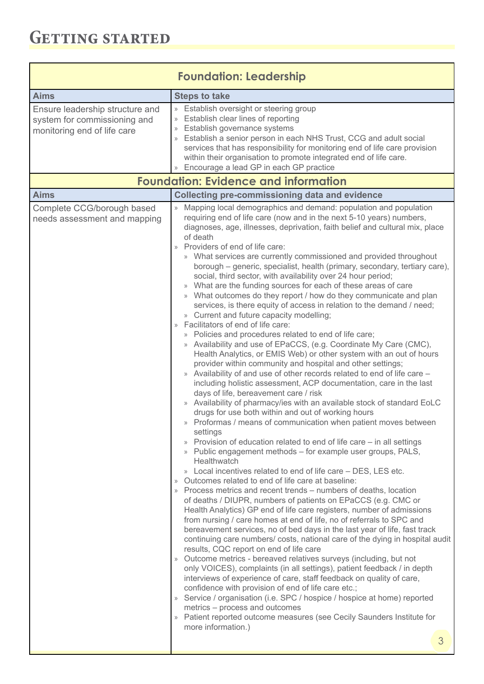<span id="page-2-0"></span>

| <b>Foundation: Leadership</b>                                                                  |                                                                                                                                                                                                                                                                                                                                                                                                                                                                                                                                                                                                                                                                                                                                                                                                                                                                                                                                                                                                                                                                                                                                                                                                                                                                                                                                                                                                                                                                                                                                                      |  |
|------------------------------------------------------------------------------------------------|------------------------------------------------------------------------------------------------------------------------------------------------------------------------------------------------------------------------------------------------------------------------------------------------------------------------------------------------------------------------------------------------------------------------------------------------------------------------------------------------------------------------------------------------------------------------------------------------------------------------------------------------------------------------------------------------------------------------------------------------------------------------------------------------------------------------------------------------------------------------------------------------------------------------------------------------------------------------------------------------------------------------------------------------------------------------------------------------------------------------------------------------------------------------------------------------------------------------------------------------------------------------------------------------------------------------------------------------------------------------------------------------------------------------------------------------------------------------------------------------------------------------------------------------------|--|
| <b>Aims</b>                                                                                    | <b>Steps to take</b>                                                                                                                                                                                                                                                                                                                                                                                                                                                                                                                                                                                                                                                                                                                                                                                                                                                                                                                                                                                                                                                                                                                                                                                                                                                                                                                                                                                                                                                                                                                                 |  |
| Ensure leadership structure and<br>system for commissioning and<br>monitoring end of life care | » Establish oversight or steering group<br>» Establish clear lines of reporting<br>» Establish governance systems<br>» Establish a senior person in each NHS Trust, CCG and adult social<br>services that has responsibility for monitoring end of life care provision<br>within their organisation to promote integrated end of life care.<br>» Encourage a lead GP in each GP practice                                                                                                                                                                                                                                                                                                                                                                                                                                                                                                                                                                                                                                                                                                                                                                                                                                                                                                                                                                                                                                                                                                                                                             |  |
| <b>Aims</b>                                                                                    | <b>Foundation: Evidence and information</b><br><b>Collecting pre-commissioning data and evidence</b>                                                                                                                                                                                                                                                                                                                                                                                                                                                                                                                                                                                                                                                                                                                                                                                                                                                                                                                                                                                                                                                                                                                                                                                                                                                                                                                                                                                                                                                 |  |
|                                                                                                | diagnoses, age, illnesses, deprivation, faith belief and cultural mix, place<br>of death<br>Providers of end of life care:<br>» What services are currently commissioned and provided throughout<br>borough – generic, specialist, health (primary, secondary, tertiary care),<br>social, third sector, with availability over 24 hour period;<br>» What are the funding sources for each of these areas of care<br>What outcomes do they report / how do they communicate and plan<br>$\rangle$<br>services, is there equity of access in relation to the demand / need;<br>» Current and future capacity modelling;<br>Facilitators of end of life care:<br>$\rangle\!\rangle$<br>» Policies and procedures related to end of life care;<br>Availability and use of EPaCCS, (e.g. Coordinate My Care (CMC),<br>Health Analytics, or EMIS Web) or other system with an out of hours<br>provider within community and hospital and other settings;<br>» Availability of and use of other records related to end of life care -<br>including holistic assessment, ACP documentation, care in the last                                                                                                                                                                                                                                                                                                                                                                                                                                                 |  |
|                                                                                                | days of life, bereavement care / risk<br>Availability of pharmacy/ies with an available stock of standard EoLC<br>$\rangle$<br>drugs for use both within and out of working hours<br>» Proformas / means of communication when patient moves between<br>settings<br>» Provision of education related to end of life care – in all settings<br>» Public engagement methods – for example user groups, PALS,<br>Healthwatch<br>» Local incentives related to end of life care – DES, LES etc.<br>» Outcomes related to end of life care at baseline:<br>» Process metrics and recent trends – numbers of deaths, location<br>of deaths / DIUPR, numbers of patients on EPaCCS (e.g. CMC or<br>Health Analytics) GP end of life care registers, number of admissions<br>from nursing / care homes at end of life, no of referrals to SPC and<br>bereavement services, no of bed days in the last year of life, fast track<br>continuing care numbers/ costs, national care of the dying in hospital audit<br>results, CQC report on end of life care<br>» Outcome metrics - bereaved relatives surveys (including, but not<br>only VOICES), complaints (in all settings), patient feedback / in depth<br>interviews of experience of care, staff feedback on quality of care,<br>confidence with provision of end of life care etc.;<br>» Service / organisation (i.e. SPC / hospice / hospice at home) reported<br>metrics - process and outcomes<br>» Patient reported outcome measures (see Cecily Saunders Institute for<br>more information.)<br>3 |  |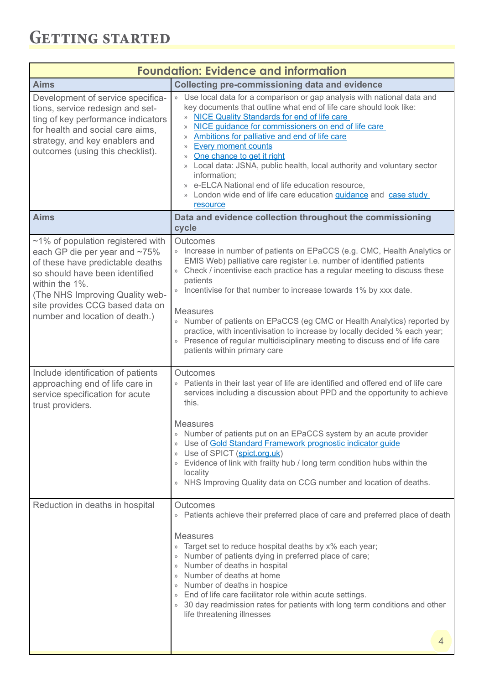#### **GETTING STARTED**

| <b>Foundation: Evidence and information</b>                                                                                                                                                                                                                           |                                                                                                                                                                                                                                                                                                                                                                                                                                                                                                                                                                                                                                                                                                                                                             |  |
|-----------------------------------------------------------------------------------------------------------------------------------------------------------------------------------------------------------------------------------------------------------------------|-------------------------------------------------------------------------------------------------------------------------------------------------------------------------------------------------------------------------------------------------------------------------------------------------------------------------------------------------------------------------------------------------------------------------------------------------------------------------------------------------------------------------------------------------------------------------------------------------------------------------------------------------------------------------------------------------------------------------------------------------------------|--|
| <b>Aims</b>                                                                                                                                                                                                                                                           | <b>Collecting pre-commissioning data and evidence</b>                                                                                                                                                                                                                                                                                                                                                                                                                                                                                                                                                                                                                                                                                                       |  |
| Development of service specifica-<br>tions, service redesign and set-<br>ting of key performance indicators<br>for health and social care aims,<br>strategy, and key enablers and<br>outcomes (using this checklist).                                                 | » Use local data for a comparison or gap analysis with national data and<br>key documents that outline what end of life care should look like:<br><b>NICE Quality Standards for end of life care</b><br>$\mathcal{V}$<br>NICE guidance for commissioners on end of life care<br>$\rangle\!\rangle$<br>Ambitions for palliative and end of life care<br>$\rangle\!\rangle$<br><b>Every moment counts</b><br>$\rangle\!\rangle$<br>One chance to get it right<br>$\rangle\!\rangle$<br>Local data: JSNA, public health, local authority and voluntary sector<br>$\rangle\!\rangle$<br>information;<br>e-ELCA National end of life education resource,<br>$\rangle$<br>London wide end of life care education guidance and case study<br>$\rangle$<br>resource |  |
| <b>Aims</b>                                                                                                                                                                                                                                                           | Data and evidence collection throughout the commissioning<br>cycle                                                                                                                                                                                                                                                                                                                                                                                                                                                                                                                                                                                                                                                                                          |  |
| $~1\%$ of population registered with<br>each GP die per year and ~75%<br>of these have predictable deaths<br>so should have been identified<br>within the 1%.<br>(The NHS Improving Quality web-<br>site provides CCG based data on<br>number and location of death.) | Outcomes<br>» Increase in number of patients on EPaCCS (e.g. CMC, Health Analytics or<br>EMIS Web) palliative care register i.e. number of identified patients<br>» Check / incentivise each practice has a regular meeting to discuss these<br>patients<br>» Incentivise for that number to increase towards 1% by xxx date.<br><b>Measures</b><br>» Number of patients on EPaCCS (eg CMC or Health Analytics) reported by<br>practice, with incentivisation to increase by locally decided % each year;<br>» Presence of regular multidisciplinary meeting to discuss end of life care<br>patients within primary care                                                                                                                                    |  |
| Include identification of patients<br>approaching end of life care in<br>service specification for acute<br>trust providers.                                                                                                                                          | Outcomes<br>» Patients in their last year of life are identified and offered end of life care<br>services including a discussion about PPD and the opportunity to achieve<br>this.                                                                                                                                                                                                                                                                                                                                                                                                                                                                                                                                                                          |  |
|                                                                                                                                                                                                                                                                       | <b>Measures</b><br>» Number of patients put on an EPaCCS system by an acute provider<br>» Use of Gold Standard Framework prognostic indicator guide<br>» Use of SPICT (spict.org.uk)<br>» Evidence of link with frailty hub / long term condition hubs within the<br>locality<br>» NHS Improving Quality data on CCG number and location of deaths.                                                                                                                                                                                                                                                                                                                                                                                                         |  |
| Reduction in deaths in hospital                                                                                                                                                                                                                                       | Outcomes<br>» Patients achieve their preferred place of care and preferred place of death<br><b>Measures</b><br>» Target set to reduce hospital deaths by x% each year;<br>» Number of patients dying in preferred place of care;<br>» Number of deaths in hospital<br>» Number of deaths at home<br>» Number of deaths in hospice<br>» End of life care facilitator role within acute settings.<br>» 30 day readmission rates for patients with long term conditions and other<br>life threatening illnesses<br>4                                                                                                                                                                                                                                          |  |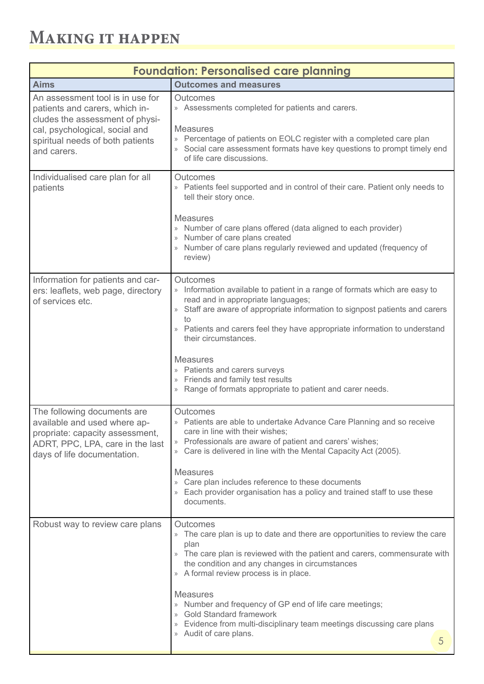<span id="page-4-0"></span>

| <b>Foundation: Personalised care planning</b>                                                                                                                                              |                                                                                                                                                                                                                                                                                                                                                                                                                                                                                                |  |
|--------------------------------------------------------------------------------------------------------------------------------------------------------------------------------------------|------------------------------------------------------------------------------------------------------------------------------------------------------------------------------------------------------------------------------------------------------------------------------------------------------------------------------------------------------------------------------------------------------------------------------------------------------------------------------------------------|--|
| <b>Aims</b>                                                                                                                                                                                | <b>Outcomes and measures</b>                                                                                                                                                                                                                                                                                                                                                                                                                                                                   |  |
| An assessment tool is in use for<br>patients and carers, which in-<br>cludes the assessment of physi-<br>cal, psychological, social and<br>spiritual needs of both patients<br>and carers. | Outcomes<br>» Assessments completed for patients and carers.<br><b>Measures</b><br>» Percentage of patients on EOLC register with a completed care plan<br>» Social care assessment formats have key questions to prompt timely end<br>of life care discussions.                                                                                                                                                                                                                               |  |
| Individualised care plan for all<br>patients                                                                                                                                               | Outcomes<br>» Patients feel supported and in control of their care. Patient only needs to<br>tell their story once.<br><b>Measures</b><br>» Number of care plans offered (data aligned to each provider)<br>» Number of care plans created<br>» Number of care plans regularly reviewed and updated (frequency of<br>review)                                                                                                                                                                   |  |
| Information for patients and car-<br>ers: leaflets, web page, directory<br>of services etc.                                                                                                | Outcomes<br>» Information available to patient in a range of formats which are easy to<br>read and in appropriate languages;<br>» Staff are aware of appropriate information to signpost patients and carers<br>to<br>» Patients and carers feel they have appropriate information to understand<br>their circumstances.<br><b>Measures</b><br>» Patients and carers surveys<br>» Friends and family test results<br>» Range of formats appropriate to patient and carer needs.                |  |
| The following documents are<br>available and used where ap-<br>propriate: capacity assessment,<br>ADRT, PPC, LPA, care in the last<br>days of life documentation.                          | Outcomes<br>» Patients are able to undertake Advance Care Planning and so receive<br>care in line with their wishes;<br>» Professionals are aware of patient and carers' wishes;<br>Care is delivered in line with the Mental Capacity Act (2005).<br><b>Measures</b><br>» Care plan includes reference to these documents<br>» Each provider organisation has a policy and trained staff to use these<br>documents.                                                                           |  |
| Robust way to review care plans                                                                                                                                                            | Outcomes<br>» The care plan is up to date and there are opportunities to review the care<br>plan<br>» The care plan is reviewed with the patient and carers, commensurate with<br>the condition and any changes in circumstances<br>» A formal review process is in place.<br><b>Measures</b><br>» Number and frequency of GP end of life care meetings;<br>» Gold Standard framework<br>» Evidence from multi-disciplinary team meetings discussing care plans<br>» Audit of care plans.<br>5 |  |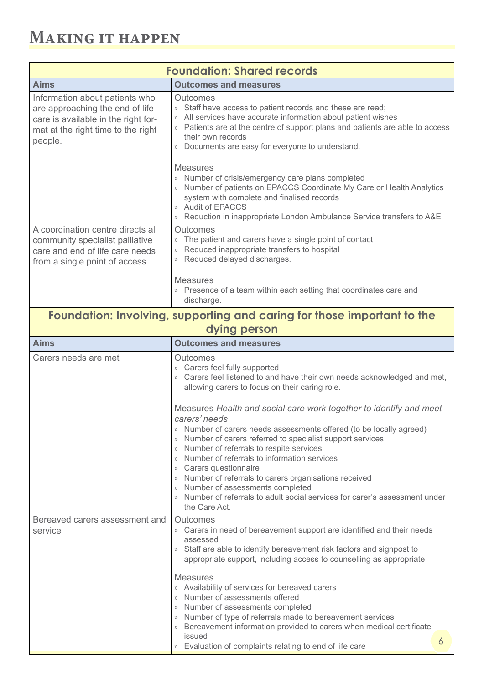<span id="page-5-0"></span>

| <b>Foundation: Shared records</b>                                                                                                                         |                                                                                                                                                                                                                                                                                                                                                                                                                                                                                                                                                 |  |
|-----------------------------------------------------------------------------------------------------------------------------------------------------------|-------------------------------------------------------------------------------------------------------------------------------------------------------------------------------------------------------------------------------------------------------------------------------------------------------------------------------------------------------------------------------------------------------------------------------------------------------------------------------------------------------------------------------------------------|--|
| <b>Aims</b>                                                                                                                                               | <b>Outcomes and measures</b>                                                                                                                                                                                                                                                                                                                                                                                                                                                                                                                    |  |
| Information about patients who<br>are approaching the end of life<br>care is available in the right for-<br>mat at the right time to the right<br>people. | Outcomes<br>» Staff have access to patient records and these are read;<br>» All services have accurate information about patient wishes<br>» Patients are at the centre of support plans and patients are able to access<br>their own records<br>» Documents are easy for everyone to understand.                                                                                                                                                                                                                                               |  |
|                                                                                                                                                           | <b>Measures</b><br>» Number of crisis/emergency care plans completed<br>» Number of patients on EPACCS Coordinate My Care or Health Analytics<br>system with complete and finalised records<br>» Audit of EPACCS<br>» Reduction in inappropriate London Ambulance Service transfers to A&E                                                                                                                                                                                                                                                      |  |
| A coordination centre directs all<br>community specialist palliative<br>care and end of life care needs<br>from a single point of access                  | Outcomes<br>» The patient and carers have a single point of contact<br>Reduced inappropriate transfers to hospital<br>» Reduced delayed discharges.<br><b>Measures</b>                                                                                                                                                                                                                                                                                                                                                                          |  |
|                                                                                                                                                           | » Presence of a team within each setting that coordinates care and<br>discharge.                                                                                                                                                                                                                                                                                                                                                                                                                                                                |  |
|                                                                                                                                                           | Foundation: Involving, supporting and caring for those important to the<br>dying person                                                                                                                                                                                                                                                                                                                                                                                                                                                         |  |
| <b>Aims</b>                                                                                                                                               | <b>Outcomes and measures</b>                                                                                                                                                                                                                                                                                                                                                                                                                                                                                                                    |  |
| Carers needs are met                                                                                                                                      | Outcomes<br>» Carers feel fully supported<br>» Carers feel listened to and have their own needs acknowledged and met,<br>allowing carers to focus on their caring role.                                                                                                                                                                                                                                                                                                                                                                         |  |
|                                                                                                                                                           | Measures Health and social care work together to identify and meet<br>carers' needs<br>» Number of carers needs assessments offered (to be locally agreed)<br>» Number of carers referred to specialist support services<br>» Number of referrals to respite services<br>» Number of referrals to information services<br>» Carers questionnaire<br>» Number of referrals to carers organisations received<br>» Number of assessments completed<br>» Number of referrals to adult social services for carer's assessment under<br>the Care Act. |  |
| Bereaved carers assessment and<br>service                                                                                                                 | Outcomes<br>» Carers in need of bereavement support are identified and their needs<br>assessed<br>» Staff are able to identify bereavement risk factors and signpost to<br>appropriate support, including access to counselling as appropriate                                                                                                                                                                                                                                                                                                  |  |
|                                                                                                                                                           | <b>Measures</b><br>» Availability of services for bereaved carers<br>» Number of assessments offered<br>» Number of assessments completed<br>» Number of type of referrals made to bereavement services<br>» Bereavement information provided to carers when medical certificate<br>issued<br>6<br>» Evaluation of complaints relating to end of life care                                                                                                                                                                                      |  |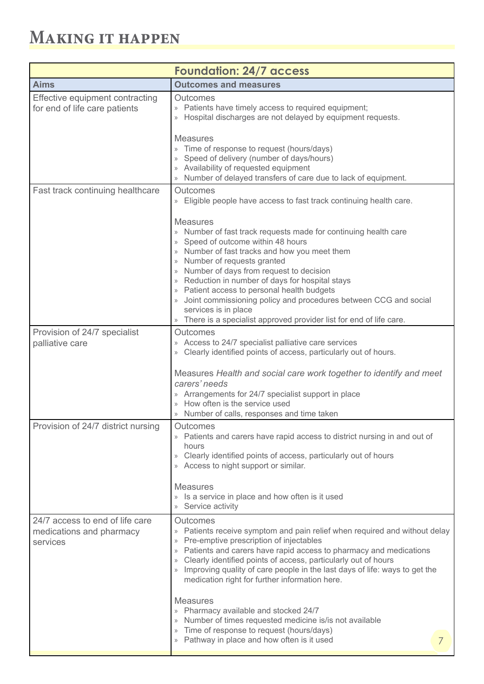<span id="page-6-0"></span>

| <b>Foundation: 24/7 access</b>                                          |                                                                                                                                                                                                                                                                                                                                                                                                                                                                                                                                                                                        |  |
|-------------------------------------------------------------------------|----------------------------------------------------------------------------------------------------------------------------------------------------------------------------------------------------------------------------------------------------------------------------------------------------------------------------------------------------------------------------------------------------------------------------------------------------------------------------------------------------------------------------------------------------------------------------------------|--|
| <b>Aims</b>                                                             | <b>Outcomes and measures</b>                                                                                                                                                                                                                                                                                                                                                                                                                                                                                                                                                           |  |
| Effective equipment contracting<br>for end of life care patients        | Outcomes<br>» Patients have timely access to required equipment;<br>» Hospital discharges are not delayed by equipment requests.<br><b>Measures</b><br>» Time of response to request (hours/days)<br>» Speed of delivery (number of days/hours)                                                                                                                                                                                                                                                                                                                                        |  |
|                                                                         | » Availability of requested equipment<br>» Number of delayed transfers of care due to lack of equipment.                                                                                                                                                                                                                                                                                                                                                                                                                                                                               |  |
| Fast track continuing healthcare                                        | Outcomes<br>» Eligible people have access to fast track continuing health care.<br><b>Measures</b><br>» Number of fast track requests made for continuing health care<br>» Speed of outcome within 48 hours<br>» Number of fast tracks and how you meet them<br>» Number of requests granted<br>» Number of days from request to decision                                                                                                                                                                                                                                              |  |
|                                                                         | » Reduction in number of days for hospital stays<br>» Patient access to personal health budgets<br>» Joint commissioning policy and procedures between CCG and social<br>services is in place<br>» There is a specialist approved provider list for end of life care.                                                                                                                                                                                                                                                                                                                  |  |
| Provision of 24/7 specialist<br>palliative care                         | Outcomes<br>» Access to 24/7 specialist palliative care services<br>» Clearly identified points of access, particularly out of hours.<br>Measures Health and social care work together to identify and meet<br>carers' needs<br>» Arrangements for 24/7 specialist support in place<br>» How often is the service used<br>» Number of calls, responses and time taken                                                                                                                                                                                                                  |  |
| Provision of 24/7 district nursing                                      | Outcomes<br>» Patients and carers have rapid access to district nursing in and out of<br>hours<br>» Clearly identified points of access, particularly out of hours<br>» Access to night support or similar.<br><b>Measures</b><br>» Is a service in place and how often is it used<br>» Service activity                                                                                                                                                                                                                                                                               |  |
| 24/7 access to end of life care<br>medications and pharmacy<br>services | Outcomes<br>» Patients receive symptom and pain relief when required and without delay<br>» Pre-emptive prescription of injectables<br>» Patients and carers have rapid access to pharmacy and medications<br>» Clearly identified points of access, particularly out of hours<br>» Improving quality of care people in the last days of life: ways to get the<br>medication right for further information here.<br><b>Measures</b><br>» Pharmacy available and stocked 24/7<br>» Number of times requested medicine is/is not available<br>» Time of response to request (hours/days) |  |
|                                                                         | » Pathway in place and how often is it used<br>7                                                                                                                                                                                                                                                                                                                                                                                                                                                                                                                                       |  |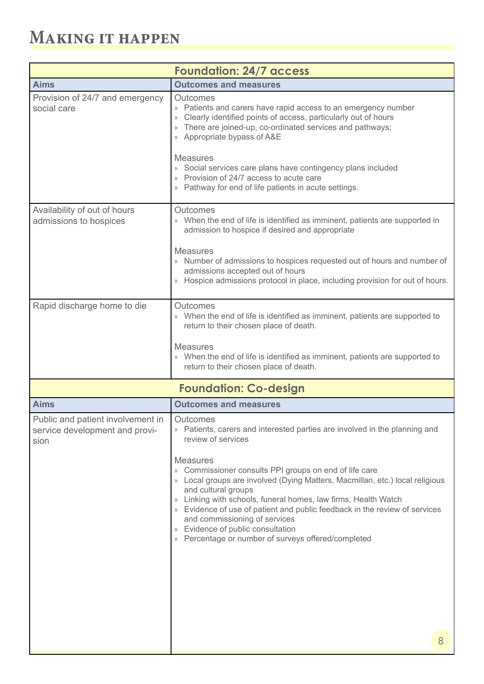<span id="page-7-0"></span>

| <b>Foundation: 24/7 access</b>                                              |                                                                                                                                                                                                                                                                                                                                                                                                                                            |  |
|-----------------------------------------------------------------------------|--------------------------------------------------------------------------------------------------------------------------------------------------------------------------------------------------------------------------------------------------------------------------------------------------------------------------------------------------------------------------------------------------------------------------------------------|--|
| <b>Aims</b>                                                                 | <b>Outcomes and measures</b>                                                                                                                                                                                                                                                                                                                                                                                                               |  |
| Provision of 24/7 and emergency<br>social care                              | Outcomes<br>» Patients and carers have rapid access to an emergency number<br>» Clearly identified points of access, particularly out of hours<br>» There are joined-up, co-ordinated services and pathways;<br>» Appropriate bypass of A&E                                                                                                                                                                                                |  |
|                                                                             | <b>Measures</b><br>» Social services care plans have contingency plans included<br>» Provision of 24/7 access to acute care<br>» Pathway for end of life patients in acute settings.                                                                                                                                                                                                                                                       |  |
| Availability of out of hours<br>admissions to hospices                      | Outcomes<br>» When the end of life is identified as imminent, patients are supported in<br>admission to hospice if desired and appropriate                                                                                                                                                                                                                                                                                                 |  |
|                                                                             | <b>Measures</b><br>» Number of admissions to hospices requested out of hours and number of<br>admissions accepted out of hours<br>» Hospice admissions protocol in place, including provision for out of hours.                                                                                                                                                                                                                            |  |
| Rapid discharge home to die                                                 | <b>Outcomes</b><br>» When the end of life is identified as imminent, patients are supported to<br>return to their chosen place of death.                                                                                                                                                                                                                                                                                                   |  |
|                                                                             | <b>Measures</b><br>» When the end of life is identified as imminent, patients are supported to<br>return to their chosen place of death.                                                                                                                                                                                                                                                                                                   |  |
|                                                                             | <b>Foundation: Co-design</b>                                                                                                                                                                                                                                                                                                                                                                                                               |  |
| <b>Aims</b>                                                                 | <b>Outcomes and measures</b>                                                                                                                                                                                                                                                                                                                                                                                                               |  |
| Public and patient involvement in<br>service development and provi-<br>sion | Outcomes<br>» Patients, carers and interested parties are involved in the planning and<br>review of services<br><b>Measures</b>                                                                                                                                                                                                                                                                                                            |  |
|                                                                             | » Commissioner consults PPI groups on end of life care<br>» Local groups are involved (Dying Matters, Macmillan, etc.) local religious<br>and cultural groups<br>» Linking with schools, funeral homes, law firms, Health Watch<br>» Evidence of use of patient and public feedback in the review of services<br>and commissioning of services<br>» Evidence of public consultation<br>» Percentage or number of surveys offered/completed |  |
|                                                                             | 8                                                                                                                                                                                                                                                                                                                                                                                                                                          |  |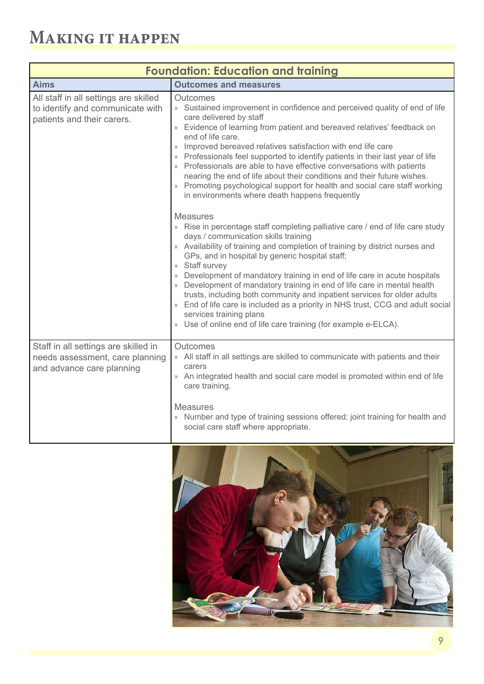<span id="page-8-0"></span>

| <b>Foundation: Education and training</b>                                                               |                                                                                                                                                                                                                                                                                                                                                                                                                                                                                                                                                                                                                                                                                                                                                                                                                                                                                                                                                                                                                                                                                                                                                                                                                                                                                                                                                                                           |  |
|---------------------------------------------------------------------------------------------------------|-------------------------------------------------------------------------------------------------------------------------------------------------------------------------------------------------------------------------------------------------------------------------------------------------------------------------------------------------------------------------------------------------------------------------------------------------------------------------------------------------------------------------------------------------------------------------------------------------------------------------------------------------------------------------------------------------------------------------------------------------------------------------------------------------------------------------------------------------------------------------------------------------------------------------------------------------------------------------------------------------------------------------------------------------------------------------------------------------------------------------------------------------------------------------------------------------------------------------------------------------------------------------------------------------------------------------------------------------------------------------------------------|--|
| <b>Aims</b>                                                                                             | <b>Outcomes and measures</b>                                                                                                                                                                                                                                                                                                                                                                                                                                                                                                                                                                                                                                                                                                                                                                                                                                                                                                                                                                                                                                                                                                                                                                                                                                                                                                                                                              |  |
| All staff in all settings are skilled<br>to identify and communicate with<br>patients and their carers. | <b>Outcomes</b><br>» Sustained improvement in confidence and perceived quality of end of life<br>care delivered by staff<br>» Evidence of learning from patient and bereaved relatives' feedback on<br>end of life care.<br>» Improved bereaved relatives satisfaction with end life care<br>» Professionals feel supported to identify patients in their last year of life<br>» Professionals are able to have effective conversations with patients<br>nearing the end of life about their conditions and their future wishes.<br>» Promoting psychological support for health and social care staff working<br>in environments where death happens frequently<br><b>Measures</b><br>» Rise in percentage staff completing palliative care / end of life care study<br>days / communication skills training<br>» Availability of training and completion of training by district nurses and<br>GPs, and in hospital by generic hospital staff;<br>» Staff survey<br>» Development of mandatory training in end of life care in acute hospitals<br>» Development of mandatory training in end of life care in mental health<br>trusts, including both community and inpatient services for older adults<br>» End of life care is included as a priority in NHS trust, CCG and adult social<br>services training plans<br>» Use of online end of life care training (for example e-ELCA). |  |
| Staff in all settings are skilled in<br>needs assessment, care planning<br>and advance care planning    | Outcomes<br>» All staff in all settings are skilled to communicate with patients and their<br>carers<br>» An integrated health and social care model is promoted within end of life<br>care training.<br><b>Measures</b><br>» Number and type of training sessions offered; joint training for health and<br>social care staff where appropriate.                                                                                                                                                                                                                                                                                                                                                                                                                                                                                                                                                                                                                                                                                                                                                                                                                                                                                                                                                                                                                                         |  |

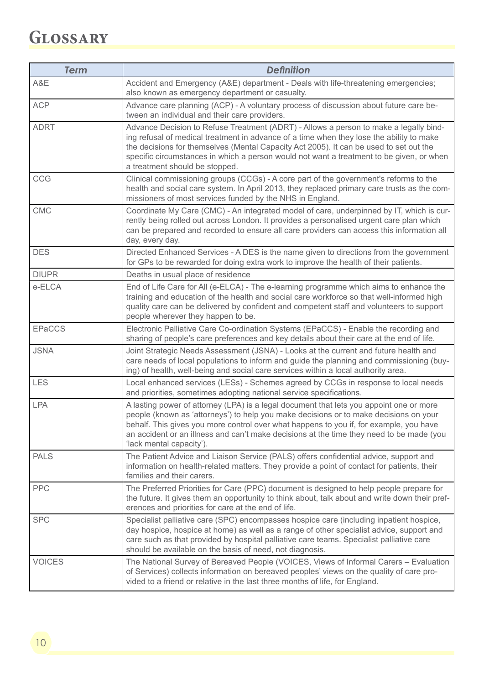## <span id="page-9-0"></span>**Glossary**

| <b>Term</b>   | <b>Definition</b>                                                                                                                                                                                                                                                                                                                                                                                         |
|---------------|-----------------------------------------------------------------------------------------------------------------------------------------------------------------------------------------------------------------------------------------------------------------------------------------------------------------------------------------------------------------------------------------------------------|
| A&E           | Accident and Emergency (A&E) department - Deals with life-threatening emergencies;<br>also known as emergency department or casualty.                                                                                                                                                                                                                                                                     |
| <b>ACP</b>    | Advance care planning (ACP) - A voluntary process of discussion about future care be-<br>tween an individual and their care providers.                                                                                                                                                                                                                                                                    |
| <b>ADRT</b>   | Advance Decision to Refuse Treatment (ADRT) - Allows a person to make a legally bind-<br>ing refusal of medical treatment in advance of a time when they lose the ability to make<br>the decisions for themselves (Mental Capacity Act 2005). It can be used to set out the<br>specific circumstances in which a person would not want a treatment to be given, or when<br>a treatment should be stopped. |
| CCG           | Clinical commissioning groups (CCGs) - A core part of the government's reforms to the<br>health and social care system. In April 2013, they replaced primary care trusts as the com-<br>missioners of most services funded by the NHS in England.                                                                                                                                                         |
| <b>CMC</b>    | Coordinate My Care (CMC) - An integrated model of care, underpinned by IT, which is cur-<br>rently being rolled out across London. It provides a personalised urgent care plan which<br>can be prepared and recorded to ensure all care providers can access this information all<br>day, every day.                                                                                                      |
| <b>DES</b>    | Directed Enhanced Services - A DES is the name given to directions from the government<br>for GPs to be rewarded for doing extra work to improve the health of their patients.                                                                                                                                                                                                                            |
| <b>DIUPR</b>  | Deaths in usual place of residence                                                                                                                                                                                                                                                                                                                                                                        |
| e-ELCA        | End of Life Care for All (e-ELCA) - The e-learning programme which aims to enhance the<br>training and education of the health and social care workforce so that well-informed high<br>quality care can be delivered by confident and competent staff and volunteers to support<br>people wherever they happen to be.                                                                                     |
| <b>EPaCCS</b> | Electronic Palliative Care Co-ordination Systems (EPaCCS) - Enable the recording and<br>sharing of people's care preferences and key details about their care at the end of life.                                                                                                                                                                                                                         |
| <b>JSNA</b>   | Joint Strategic Needs Assessment (JSNA) - Looks at the current and future health and<br>care needs of local populations to inform and guide the planning and commissioning (buy-<br>ing) of health, well-being and social care services within a local authority area.                                                                                                                                    |
| LES           | Local enhanced services (LESs) - Schemes agreed by CCGs in response to local needs<br>and priorities, sometimes adopting national service specifications.                                                                                                                                                                                                                                                 |
| <b>LPA</b>    | A lasting power of attorney (LPA) is a legal document that lets you appoint one or more<br>people (known as 'attorneys') to help you make decisions or to make decisions on your<br>behalf. This gives you more control over what happens to you if, for example, you have<br>an accident or an illness and can't make decisions at the time they need to be made (you<br>'lack mental capacity').        |
| <b>PALS</b>   | The Patient Advice and Liaison Service (PALS) offers confidential advice, support and<br>information on health-related matters. They provide a point of contact for patients, their<br>families and their carers.                                                                                                                                                                                         |
| <b>PPC</b>    | The Preferred Priorities for Care (PPC) document is designed to help people prepare for<br>the future. It gives them an opportunity to think about, talk about and write down their pref-<br>erences and priorities for care at the end of life.                                                                                                                                                          |
| <b>SPC</b>    | Specialist palliative care (SPC) encompasses hospice care (including inpatient hospice,<br>day hospice, hospice at home) as well as a range of other specialist advice, support and<br>care such as that provided by hospital palliative care teams. Specialist palliative care<br>should be available on the basis of need, not diagnosis.                                                               |
| <b>VOICES</b> | The National Survey of Bereaved People (VOICES, Views of Informal Carers - Evaluation<br>of Services) collects information on bereaved peoples' views on the quality of care pro-<br>vided to a friend or relative in the last three months of life, for England.                                                                                                                                         |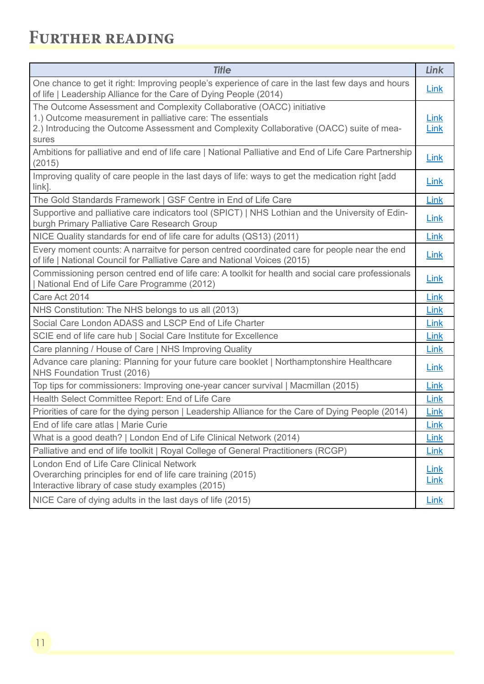### <span id="page-10-0"></span>**Further reading**

| <b>Title</b>                                                                                                                                                                                                                             | Link                       |
|------------------------------------------------------------------------------------------------------------------------------------------------------------------------------------------------------------------------------------------|----------------------------|
| One chance to get it right: Improving people's experience of care in the last few days and hours<br>of life   Leadership Alliance for the Care of Dying People (2014)                                                                    | <b>Link</b>                |
| The Outcome Assessment and Complexity Collaborative (OACC) initiative<br>1.) Outcome measurement in palliative care: The essentials<br>2.) Introducing the Outcome Assessment and Complexity Collaborative (OACC) suite of mea-<br>sures | Link<br>Link               |
| Ambitions for palliative and end of life care   National Palliative and End of Life Care Partnership<br>(2015)                                                                                                                           | <b>Link</b>                |
| Improving quality of care people in the last days of life: ways to get the medication right [add<br>$link$ ].                                                                                                                            | Link                       |
| The Gold Standards Framework   GSF Centre in End of Life Care                                                                                                                                                                            | Link                       |
| Supportive and palliative care indicators tool (SPICT)   NHS Lothian and the University of Edin-<br>burgh Primary Palliative Care Research Group                                                                                         | <b>Link</b>                |
| NICE Quality standards for end of life care for adults (QS13) (2011)                                                                                                                                                                     | Link                       |
| Every moment counts: A narraitve for person centred coordinated care for people near the end<br>of life   National Council for Palliative Care and National Voices (2015)                                                                | Link                       |
| Commissioning person centred end of life care: A toolkit for health and social care professionals<br>  National End of Life Care Programme (2012)                                                                                        | <b>Link</b>                |
| Care Act 2014                                                                                                                                                                                                                            | Link                       |
| NHS Constitution: The NHS belongs to us all (2013)                                                                                                                                                                                       | Link                       |
| Social Care London ADASS and LSCP End of Life Charter                                                                                                                                                                                    | Link                       |
| SCIE end of life care hub   Social Care Institute for Excellence                                                                                                                                                                         | Link                       |
| Care planning / House of Care   NHS Improving Quality                                                                                                                                                                                    | Link                       |
| Advance care planing: Planning for your future care booklet   Northamptonshire Healthcare<br>NHS Foundation Trust (2016)                                                                                                                 | Link                       |
| Top tips for commissioners: Improving one-year cancer survival   Macmillan (2015)                                                                                                                                                        | Link                       |
| Health Select Committee Report: End of Life Care                                                                                                                                                                                         | Link                       |
| Priorities of care for the dying person   Leadership Alliance for the Care of Dying People (2014)                                                                                                                                        | Link                       |
| End of life care atlas   Marie Curie                                                                                                                                                                                                     | <b>Link</b>                |
| What is a good death?   London End of Life Clinical Network (2014)                                                                                                                                                                       | Link                       |
| Palliative and end of life toolkit   Royal College of General Practitioners (RCGP)                                                                                                                                                       | Link                       |
| London End of Life Care Clinical Network<br>Overarching principles for end of life care training (2015)<br>Interactive library of case study examples (2015)                                                                             | <b>Link</b><br><b>Link</b> |
| NICE Care of dying adults in the last days of life (2015)                                                                                                                                                                                | <b>Link</b>                |